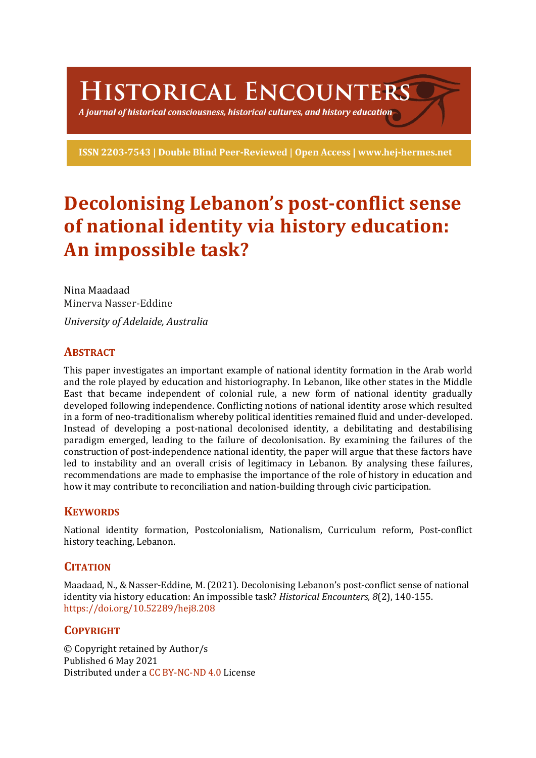HISTORICAL ENCOUNTERS

A journal of historical consciousness, historical cultures, and history education  $\geq$ 

ISSN 2203-7543 | Double Blind Peer-Reviewed | Open Access | www.hej-hermes.net

# **Decolonising Lebanon's post-conflict sense of national identity via history education:** An impossible task?

Nina Maadaad Minerva Nasser-Eddine *University of Adelaide, Australia*

# **ABSTRACT**

This paper investigates an important example of national identity formation in the Arab world and the role played by education and historiography. In Lebanon, like other states in the Middle East that became independent of colonial rule, a new form of national identity gradually developed following independence. Conflicting notions of national identity arose which resulted in a form of neo-traditionalism whereby political identities remained fluid and under-developed. Instead of developing a post-national decolonised identity, a debilitating and destabilising paradigm emerged, leading to the failure of decolonisation. By examining the failures of the construction of post-independence national identity, the paper will argue that these factors have led to instability and an overall crisis of legitimacy in Lebanon. By analysing these failures, recommendations are made to emphasise the importance of the role of history in education and how it may contribute to reconciliation and nation-building through civic participation.

# **KEYWORDS**

National identity formation, Postcolonialism, Nationalism, Curriculum reform, Post-conflict history teaching, Lebanon.

# **CITATION**

Maadaad, N., & Nasser-Eddine, M. (2021). Decolonising Lebanon's post-conflict sense of national identity via history education: An impossible task? *Historical Encounters, 8*(2), 140-155. https://doi.org/10.52289/hej8.208

# **COPYRIGHT**

© Copyright retained by Author/s Published 6 May 2021 Distributed under a CC BY-NC-ND 4.0 License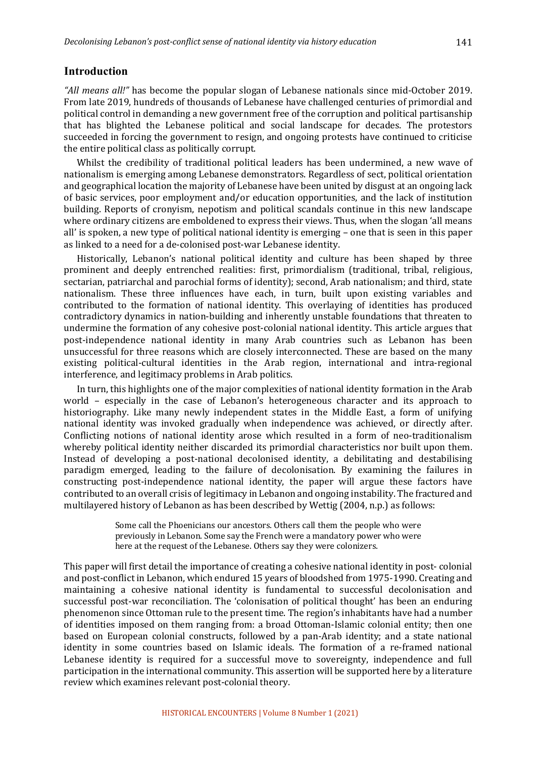## **Introduction**

"All *means all!"* has become the popular slogan of Lebanese nationals since mid-October 2019. From late 2019, hundreds of thousands of Lebanese have challenged centuries of primordial and political control in demanding a new government free of the corruption and political partisanship that has blighted the Lebanese political and social landscape for decades. The protestors succeeded in forcing the government to resign, and ongoing protests have continued to criticise the entire political class as politically corrupt.

Whilst the credibility of traditional political leaders has been undermined, a new wave of nationalism is emerging among Lebanese demonstrators. Regardless of sect, political orientation and geographical location the majority of Lebanese have been united by disgust at an ongoing lack of basic services, poor employment and/or education opportunities, and the lack of institution building. Reports of cronyism, nepotism and political scandals continue in this new landscape where ordinary citizens are emboldened to express their views. Thus, when the slogan 'all means all' is spoken, a new type of political national identity is emerging – one that is seen in this paper as linked to a need for a de-colonised post-war Lebanese identity.

Historically, Lebanon's national political identity and culture has been shaped by three prominent and deeply entrenched realities: first, primordialism (traditional, tribal, religious, sectarian, patriarchal and parochial forms of identity); second, Arab nationalism; and third, state nationalism. These three influences have each, in turn, built upon existing variables and contributed to the formation of national identity. This overlaying of identities has produced contradictory dynamics in nation-building and inherently unstable foundations that threaten to undermine the formation of any cohesive post-colonial national identity. This article argues that post-independence national identity in many Arab countries such as Lebanon has been unsuccessful for three reasons which are closely interconnected. These are based on the many existing political-cultural identities in the Arab region, international and intra-regional interference, and legitimacy problems in Arab politics.

In turn, this highlights one of the major complexities of national identity formation in the Arab world – especially in the case of Lebanon's heterogeneous character and its approach to historiography. Like many newly independent states in the Middle East, a form of unifying national identity was invoked gradually when independence was achieved, or directly after. Conflicting notions of national identity arose which resulted in a form of neo-traditionalism whereby political identity neither discarded its primordial characteristics nor built upon them. Instead of developing a post-national decolonised identity, a debilitating and destabilising paradigm emerged, leading to the failure of decolonisation. By examining the failures in constructing post-independence national identity, the paper will argue these factors have contributed to an overall crisis of legitimacy in Lebanon and ongoing instability. The fractured and multilayered history of Lebanon as has been described by Wettig (2004, n.p.) as follows:

> Some call the Phoenicians our ancestors. Others call them the people who were previously in Lebanon. Some say the French were a mandatory power who were here at the request of the Lebanese. Others say they were colonizers.

This paper will first detail the importance of creating a cohesive national identity in post- colonial and post-conflict in Lebanon, which endured 15 years of bloodshed from 1975-1990. Creating and maintaining a cohesive national identity is fundamental to successful decolonisation and successful post-war reconciliation. The 'colonisation of political thought' has been an enduring phenomenon since Ottoman rule to the present time. The region's inhabitants have had a number of identities imposed on them ranging from: a broad Ottoman-Islamic colonial entity; then one based on European colonial constructs, followed by a pan-Arab identity; and a state national identity in some countries based on Islamic ideals. The formation of a re-framed national Lebanese identity is required for a successful move to sovereignty, independence and full participation in the international community. This assertion will be supported here by a literature review which examines relevant post-colonial theory.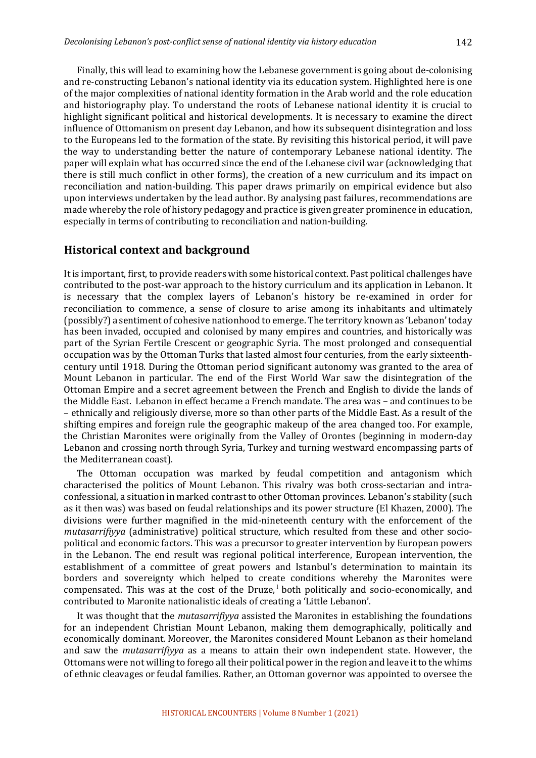Finally, this will lead to examining how the Lebanese government is going about de-colonising and re-constructing Lebanon's national identity via its education system. Highlighted here is one of the major complexities of national identity formation in the Arab world and the role education and historiography play. To understand the roots of Lebanese national identity it is crucial to highlight significant political and historical developments. It is necessary to examine the direct influence of Ottomanism on present day Lebanon, and how its subsequent disintegration and loss to the Europeans led to the formation of the state. By revisiting this historical period, it will pave the way to understanding better the nature of contemporary Lebanese national identity. The paper will explain what has occurred since the end of the Lebanese civil war (acknowledging that there is still much conflict in other forms), the creation of a new curriculum and its impact on reconciliation and nation-building. This paper draws primarily on empirical evidence but also upon interviews undertaken by the lead author. By analysing past failures, recommendations are made whereby the role of history pedagogy and practice is given greater prominence in education, especially in terms of contributing to reconciliation and nation-building.

## **Historical context and background**

It is important, first, to provide readers with some historical context. Past political challenges have contributed to the post-war approach to the history curriculum and its application in Lebanon. It is necessary that the complex layers of Lebanon's history be re-examined in order for reconciliation to commence, a sense of closure to arise among its inhabitants and ultimately (possibly?) a sentiment of cohesive nationhood to emerge. The territory known as 'Lebanon' today has been invaded, occupied and colonised by many empires and countries, and historically was part of the Syrian Fertile Crescent or geographic Syria. The most prolonged and consequential occupation was by the Ottoman Turks that lasted almost four centuries, from the early sixteenthcentury until 1918. During the Ottoman period significant autonomy was granted to the area of Mount Lebanon in particular. The end of the First World War saw the disintegration of the Ottoman Empire and a secret agreement between the French and English to divide the lands of the Middle East. Lebanon in effect became a French mandate. The area was – and continues to be – ethnically and religiously diverse, more so than other parts of the Middle East. As a result of the shifting empires and foreign rule the geographic makeup of the area changed too. For example, the Christian Maronites were originally from the Valley of Orontes (beginning in modern-day Lebanon and crossing north through Syria, Turkey and turning westward encompassing parts of the Mediterranean coast).

The Ottoman occupation was marked by feudal competition and antagonism which characterised the politics of Mount Lebanon. This rivalry was both cross-sectarian and intraconfessional, a situation in marked contrast to other Ottoman provinces. Lebanon's stability (such as it then was) was based on feudal relationships and its power structure (El Khazen, 2000). The divisions were further magnified in the mid-nineteenth century with the enforcement of the *mutasarrifiyya* (administrative) political structure, which resulted from these and other sociopolitical and economic factors. This was a precursor to greater intervention by European powers in the Lebanon. The end result was regional political interference, European intervention, the establishment of a committee of great powers and Istanbul's determination to maintain its borders and sovereignty which helped to create conditions whereby the Maronites were compensated. This was at the cost of the Druze, $^1$  both politically and socio-economically, and contributed to Maronite nationalistic ideals of creating a 'Little Lebanon'.

It was thought that the *mutasarrifiyya* assisted the Maronites in establishing the foundations for an independent Christian Mount Lebanon, making them demographically, politically and economically dominant. Moreover, the Maronites considered Mount Lebanon as their homeland and saw the *mutasarrifiyya* as a means to attain their own independent state. However, the Ottomans were not willing to forego all their political power in the region and leave it to the whims of ethnic cleavages or feudal families. Rather, an Ottoman governor was appointed to oversee the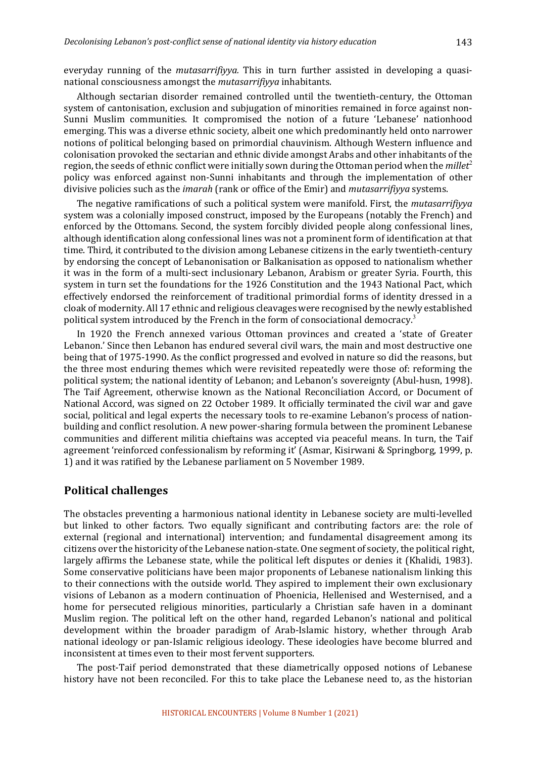everyday running of the *mutasarrifiyya*. This in turn further assisted in developing a quasinational consciousness amongst the *mutasarrifiyya* inhabitants.

Although sectarian disorder remained controlled until the twentieth-century, the Ottoman system of cantonisation, exclusion and subjugation of minorities remained in force against non-Sunni Muslim communities. It compromised the notion of a future 'Lebanese' nationhood emerging. This was a diverse ethnic society, albeit one which predominantly held onto narrower notions of political belonging based on primordial chauvinism. Although Western influence and colonisation provoked the sectarian and ethnic divide amongst Arabs and other inhabitants of the region, the seeds of ethnic conflict were initially sown during the Ottoman period when the *millet<sup>2</sup>* policy was enforced against non-Sunni inhabitants and through the implementation of other divisive policies such as the *imarah* (rank or office of the Emir) and *mutasarrifiyya* systems.

The negative ramifications of such a political system were manifold. First, the *mutasarrifiyya* system was a colonially imposed construct, imposed by the Europeans (notably the French) and enforced by the Ottomans. Second, the system forcibly divided people along confessional lines, although identification along confessional lines was not a prominent form of identification at that time. Third, it contributed to the division among Lebanese citizens in the early twentieth-century by endorsing the concept of Lebanonisation or Balkanisation as opposed to nationalism whether it was in the form of a multi-sect inclusionary Lebanon, Arabism or greater Syria. Fourth, this system in turn set the foundations for the 1926 Constitution and the 1943 National Pact, which effectively endorsed the reinforcement of traditional primordial forms of identity dressed in a cloak of modernity. All 17 ethnic and religious cleavages were recognised by the newly established political system introduced by the French in the form of consociational democracy.<sup>3</sup>

In 1920 the French annexed various Ottoman provinces and created a 'state of Greater Lebanon.' Since then Lebanon has endured several civil wars, the main and most destructive one being that of 1975-1990. As the conflict progressed and evolved in nature so did the reasons, but the three most enduring themes which were revisited repeatedly were those of: reforming the political system; the national identity of Lebanon; and Lebanon's sovereignty (Abul-husn, 1998). The Taif Agreement, otherwise known as the National Reconciliation Accord, or Document of National Accord, was signed on 22 October 1989. It officially terminated the civil war and gave social, political and legal experts the necessary tools to re-examine Lebanon's process of nationbuilding and conflict resolution. A new power-sharing formula between the prominent Lebanese communities and different militia chieftains was accepted via peaceful means. In turn, the Taif agreement 'reinforced confessionalism by reforming it' (Asmar, Kisirwani & Springborg, 1999, p. 1) and it was ratified by the Lebanese parliament on 5 November 1989.

### **Political challenges**

The obstacles preventing a harmonious national identity in Lebanese society are multi-levelled but linked to other factors. Two equally significant and contributing factors are: the role of external (regional and international) intervention; and fundamental disagreement among its citizens over the historicity of the Lebanese nation-state. One segment of society, the political right, largely affirms the Lebanese state, while the political left disputes or denies it (Khalidi, 1983). Some conservative politicians have been major proponents of Lebanese nationalism linking this to their connections with the outside world. They aspired to implement their own exclusionary visions of Lebanon as a modern continuation of Phoenicia, Hellenised and Westernised, and a home for persecuted religious minorities, particularly a Christian safe haven in a dominant Muslim region. The political left on the other hand, regarded Lebanon's national and political development within the broader paradigm of Arab-Islamic history, whether through Arab national ideology or pan-Islamic religious ideology. These ideologies have become blurred and inconsistent at times even to their most fervent supporters.

The post-Taif period demonstrated that these diametrically opposed notions of Lebanese history have not been reconciled. For this to take place the Lebanese need to, as the historian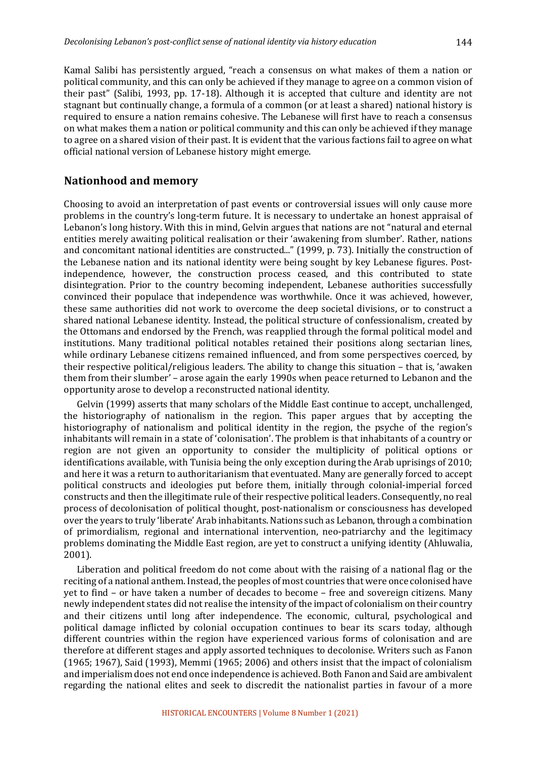Kamal Salibi has persistently argued, "reach a consensus on what makes of them a nation or political community, and this can only be achieved if they manage to agree on a common vision of their past" (Salibi, 1993, pp. 17-18). Although it is accepted that culture and identity are not stagnant but continually change, a formula of a common (or at least a shared) national history is required to ensure a nation remains cohesive. The Lebanese will first have to reach a consensus on what makes them a nation or political community and this can only be achieved if they manage to agree on a shared vision of their past. It is evident that the various factions fail to agree on what official national version of Lebanese history might emerge.

## **Nationhood and memory**

Choosing to avoid an interpretation of past events or controversial issues will only cause more problems in the country's long-term future. It is necessary to undertake an honest appraisal of Lebanon's long history. With this in mind, Gelvin argues that nations are not "natural and eternal entities merely awaiting political realisation or their 'awakening from slumber'. Rather, nations and concomitant national identities are constructed..." (1999, p. 73). Initially the construction of the Lebanese nation and its national identity were being sought by key Lebanese figures. Postindependence, however, the construction process ceased, and this contributed to state disintegration. Prior to the country becoming independent, Lebanese authorities successfully convinced their populace that independence was worthwhile. Once it was achieved, however, these same authorities did not work to overcome the deep societal divisions, or to construct a shared national Lebanese identity. Instead, the political structure of confessionalism, created by the Ottomans and endorsed by the French, was reapplied through the formal political model and institutions. Many traditional political notables retained their positions along sectarian lines, while ordinary Lebanese citizens remained influenced, and from some perspectives coerced, by their respective political/religious leaders. The ability to change this situation – that is, 'awaken them from their slumber' – arose again the early 1990s when peace returned to Lebanon and the opportunity arose to develop a reconstructed national identity.

Gelvin (1999) asserts that many scholars of the Middle East continue to accept, unchallenged, the historiography of nationalism in the region. This paper argues that by accepting the historiography of nationalism and political identity in the region, the psyche of the region's inhabitants will remain in a state of 'colonisation'. The problem is that inhabitants of a country or region are not given an opportunity to consider the multiplicity of political options or identifications available, with Tunisia being the only exception during the Arab uprisings of 2010; and here it was a return to authoritarianism that eventuated. Many are generally forced to accept political constructs and ideologies put before them, initially through colonial-imperial forced constructs and then the illegitimate rule of their respective political leaders. Consequently, no real process of decolonisation of political thought, post-nationalism or consciousness has developed over the years to truly 'liberate' Arab inhabitants. Nations such as Lebanon, through a combination of primordialism, regional and international intervention, neo-patriarchy and the legitimacy problems dominating the Middle East region, are yet to construct a unifying identity (Ahluwalia, 2001). 

Liberation and political freedom do not come about with the raising of a national flag or the reciting of a national anthem. Instead, the peoples of most countries that were once colonised have yet to find – or have taken a number of decades to become – free and sovereign citizens. Many newly independent states did not realise the intensity of the impact of colonialism on their country and their citizens until long after independence. The economic, cultural, psychological and political damage inflicted by colonial occupation continues to bear its scars today, although different countries within the region have experienced various forms of colonisation and are therefore at different stages and apply assorted techniques to decolonise. Writers such as Fanon  $(1965; 1967)$ , Said  $(1993)$ , Memmi  $(1965; 2006)$  and others insist that the impact of colonialism and imperialism does not end once independence is achieved. Both Fanon and Said are ambivalent regarding the national elites and seek to discredit the nationalist parties in favour of a more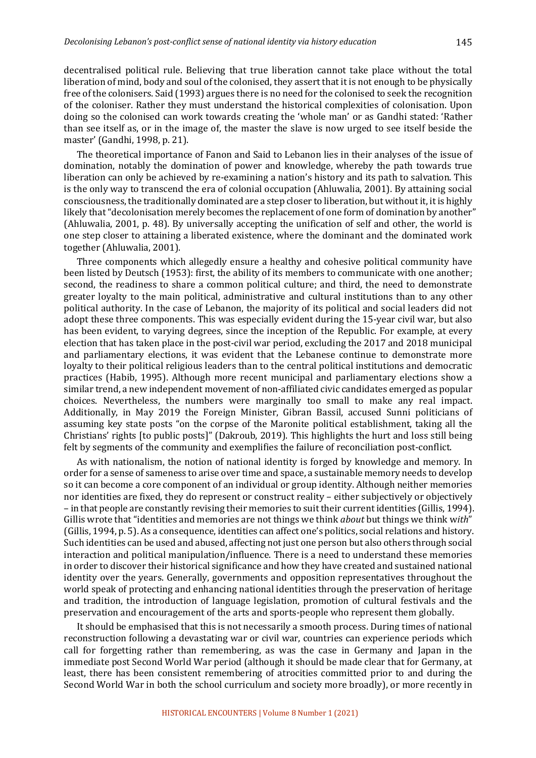decentralised political rule. Believing that true liberation cannot take place without the total liberation of mind, body and soul of the colonised, they assert that it is not enough to be physically free of the colonisers. Said (1993) argues there is no need for the colonised to seek the recognition of the coloniser. Rather they must understand the historical complexities of colonisation. Upon doing so the colonised can work towards creating the 'whole man' or as Gandhi stated: 'Rather than see itself as, or in the image of, the master the slave is now urged to see itself beside the master' (Gandhi, 1998, p. 21).

The theoretical importance of Fanon and Said to Lebanon lies in their analyses of the issue of domination, notably the domination of power and knowledge, whereby the path towards true liberation can only be achieved by re-examining a nation's history and its path to salvation. This is the only way to transcend the era of colonial occupation (Ahluwalia, 2001). By attaining social consciousness, the traditionally dominated are a step closer to liberation, but without it, it is highly likely that "decolonisation merely becomes the replacement of one form of domination by another" (Ahluwalia, 2001, p. 48). By universally accepting the unification of self and other, the world is one step closer to attaining a liberated existence, where the dominant and the dominated work together (Ahluwalia, 2001).

Three components which allegedly ensure a healthy and cohesive political community have been listed by Deutsch (1953): first, the ability of its members to communicate with one another; second, the readiness to share a common political culture; and third, the need to demonstrate greater loyalty to the main political, administrative and cultural institutions than to any other political authority. In the case of Lebanon, the majority of its political and social leaders did not adopt these three components. This was especially evident during the 15-year civil war, but also has been evident, to varying degrees, since the inception of the Republic. For example, at every election that has taken place in the post-civil war period, excluding the 2017 and 2018 municipal and parliamentary elections, it was evident that the Lebanese continue to demonstrate more loyalty to their political religious leaders than to the central political institutions and democratic practices (Habib, 1995). Although more recent municipal and parliamentary elections show a similar trend, a new independent movement of non-affiliated civic candidates emerged as popular choices. Nevertheless, the numbers were marginally too small to make any real impact. Additionally, in May 2019 the Foreign Minister, Gibran Bassil, accused Sunni politicians of assuming key state posts "on the corpse of the Maronite political establishment, taking all the Christians' rights [to public posts]" (Dakroub, 2019). This highlights the hurt and loss still being felt by segments of the community and exemplifies the failure of reconciliation post-conflict.

As with nationalism, the notion of national identity is forged by knowledge and memory. In order for a sense of sameness to arise over time and space, a sustainable memory needs to develop so it can become a core component of an individual or group identity. Although neither memories nor identities are fixed, they do represent or construct reality - either subjectively or objectively – in that people are constantly revising their memories to suit their current identities (Gillis, 1994). Gillis wrote that "identities and memories are not things we think *about* but things we think with" (Gillis, 1994, p. 5). As a consequence, identities can affect one's politics, social relations and history. Such identities can be used and abused, affecting not just one person but also others through social interaction and political manipulation/influence. There is a need to understand these memories in order to discover their historical significance and how they have created and sustained national identity over the years. Generally, governments and opposition representatives throughout the world speak of protecting and enhancing national identities through the preservation of heritage and tradition, the introduction of language legislation, promotion of cultural festivals and the preservation and encouragement of the arts and sports-people who represent them globally.

It should be emphasised that this is not necessarily a smooth process. During times of national reconstruction following a devastating war or civil war, countries can experience periods which call for forgetting rather than remembering, as was the case in Germany and Japan in the immediate post Second World War period (although it should be made clear that for Germany, at least, there has been consistent remembering of atrocities committed prior to and during the Second World War in both the school curriculum and society more broadly), or more recently in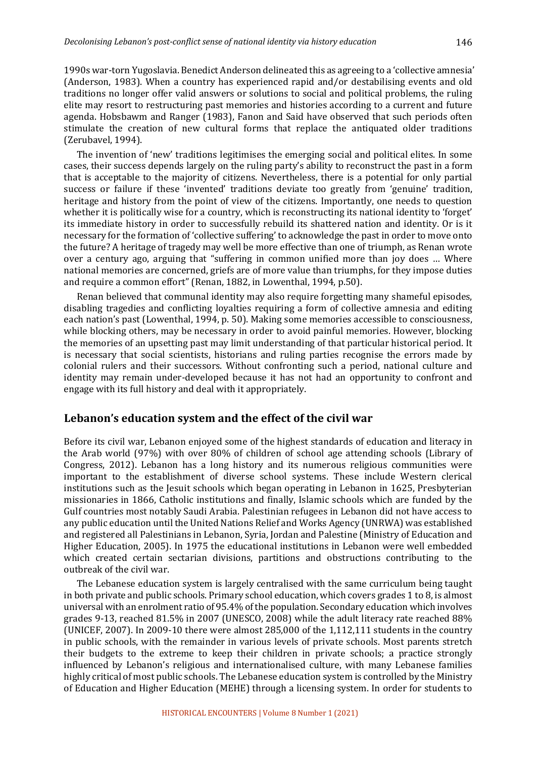1990s war-torn Yugoslavia. Benedict Anderson delineated this as agreeing to a 'collective amnesia' (Anderson, 1983). When a country has experienced rapid and/or destabilising events and old traditions no longer offer valid answers or solutions to social and political problems, the ruling elite may resort to restructuring past memories and histories according to a current and future agenda. Hobsbawm and Ranger (1983), Fanon and Said have observed that such periods often stimulate the creation of new cultural forms that replace the antiquated older traditions (Zerubavel, 1994).

The invention of 'new' traditions legitimises the emerging social and political elites. In some cases, their success depends largely on the ruling party's ability to reconstruct the past in a form that is acceptable to the majority of citizens. Nevertheless, there is a potential for only partial success or failure if these 'invented' traditions deviate too greatly from 'genuine' tradition, heritage and history from the point of view of the citizens. Importantly, one needs to question whether it is politically wise for a country, which is reconstructing its national identity to 'forget' its immediate history in order to successfully rebuild its shattered nation and identity. Or is it necessary for the formation of 'collective suffering' to acknowledge the past in order to move onto the future? A heritage of tragedy may well be more effective than one of triumph, as Renan wrote over a century ago, arguing that "suffering in common unified more than joy does ... Where national memories are concerned, griefs are of more value than triumphs, for they impose duties and require a common effort" (Renan, 1882, in Lowenthal, 1994, p.50).

Renan believed that communal identity may also require forgetting many shameful episodes, disabling tragedies and conflicting loyalties requiring a form of collective amnesia and editing each nation's past (Lowenthal, 1994, p. 50). Making some memories accessible to consciousness, while blocking others, may be necessary in order to avoid painful memories. However, blocking the memories of an upsetting past may limit understanding of that particular historical period. It is necessary that social scientists, historians and ruling parties recognise the errors made by colonial rulers and their successors. Without confronting such a period, national culture and identity may remain under-developed because it has not had an opportunity to confront and engage with its full history and deal with it appropriately.

## Lebanon's education system and the effect of the civil war

Before its civil war, Lebanon enjoyed some of the highest standards of education and literacy in the Arab world  $(97%)$  with over  $80%$  of children of school age attending schools (Library of Congress, 2012). Lebanon has a long history and its numerous religious communities were important to the establishment of diverse school systems. These include Western clerical institutions such as the Jesuit schools which began operating in Lebanon in 1625, Presbyterian missionaries in 1866, Catholic institutions and finally, Islamic schools which are funded by the Gulf countries most notably Saudi Arabia. Palestinian refugees in Lebanon did not have access to any public education until the United Nations Relief and Works Agency (UNRWA) was established and registered all Palestinians in Lebanon, Syria, Jordan and Palestine (Ministry of Education and Higher Education, 2005). In 1975 the educational institutions in Lebanon were well embedded which created certain sectarian divisions, partitions and obstructions contributing to the outhreak of the civil war.

The Lebanese education system is largely centralised with the same curriculum being taught in both private and public schools. Primary school education, which covers grades 1 to 8, is almost universal with an enrolment ratio of 95.4% of the population. Secondary education which involves grades  $9-13$ , reached  $81.5\%$  in 2007 (UNESCO, 2008) while the adult literacy rate reached  $88\%$ (UNICEF, 2007). In 2009-10 there were almost  $285,000$  of the  $1,112,111$  students in the country in public schools, with the remainder in various levels of private schools. Most parents stretch their budgets to the extreme to keep their children in private schools; a practice strongly influenced by Lebanon's religious and internationalised culture, with many Lebanese families highly critical of most public schools. The Lebanese education system is controlled by the Ministry of Education and Higher Education (MEHE) through a licensing system. In order for students to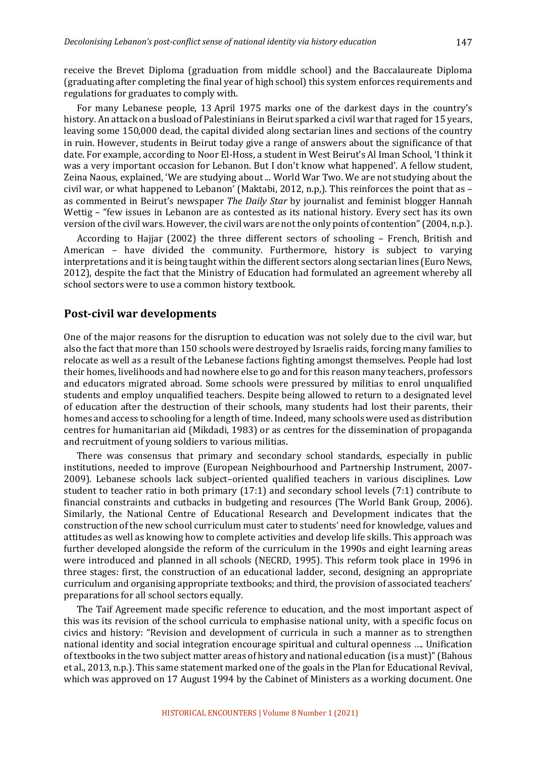receive the Brevet Diploma (graduation from middle school) and the Baccalaureate Diploma (graduating after completing the final year of high school) this system enforces requirements and regulations for graduates to comply with.

For many Lebanese people, 13 April 1975 marks one of the darkest days in the country's history. An attack on a busload of Palestinians in Beirut sparked a civil war that raged for 15 years, leaving some 150,000 dead, the capital divided along sectarian lines and sections of the country in ruin. However, students in Beirut today give a range of answers about the significance of that date. For example, according to Noor El-Hoss, a student in West Beirut's Al Iman School, 'I think it was a very important occasion for Lebanon. But I don't know what happened'. A fellow student, Zeina Naous, explained, 'We are studying about ... World War Two. We are not studying about the civil war, or what happened to Lebanon' (Maktabi, 2012, n.p,). This reinforces the point that as as commented in Beirut's newspaper *The Daily Star* by journalist and feminist blogger Hannah Wettig  $-$  "few issues in Lebanon are as contested as its national history. Every sect has its own version of the civil wars. However, the civil wars are not the only points of contention" (2004, n.p.).

According to Hajjar  $(2002)$  the three different sectors of schooling – French, British and American – have divided the community. Furthermore, history is subject to varying interpretations and it is being taught within the different sectors along sectarian lines (Euro News, 2012), despite the fact that the Ministry of Education had formulated an agreement whereby all school sectors were to use a common history textbook.

#### **Post-civil war developments**

One of the major reasons for the disruption to education was not solely due to the civil war, but also the fact that more than 150 schools were destroyed by Israelis raids, forcing many families to relocate as well as a result of the Lebanese factions fighting amongst themselves. People had lost their homes, livelihoods and had nowhere else to go and for this reason many teachers, professors and educators migrated abroad. Some schools were pressured by militias to enrol unqualified students and employ unqualified teachers. Despite being allowed to return to a designated level of education after the destruction of their schools, many students had lost their parents, their homes and access to schooling for a length of time. Indeed, many schools were used as distribution centres for humanitarian aid (Mikdadi, 1983) or as centres for the dissemination of propaganda and recruitment of young soldiers to various militias.

There was consensus that primary and secondary school standards, especially in public institutions, needed to improve (European Neighbourhood and Partnership Instrument, 2007-2009). Lebanese schools lack subject-oriented qualified teachers in various disciplines. Low student to teacher ratio in both primary  $(17:1)$  and secondary school levels  $(7:1)$  contribute to financial constraints and cutbacks in budgeting and resources (The World Bank Group, 2006). Similarly, the National Centre of Educational Research and Development indicates that the construction of the new school curriculum must cater to students' need for knowledge, values and attitudes as well as knowing how to complete activities and develop life skills. This approach was further developed alongside the reform of the curriculum in the 1990s and eight learning areas were introduced and planned in all schools (NECRD, 1995). This reform took place in 1996 in three stages: first, the construction of an educational ladder, second, designing an appropriate curriculum and organising appropriate textbooks; and third, the provision of associated teachers' preparations for all school sectors equally.

The Taif Agreement made specific reference to education, and the most important aspect of this was its revision of the school curricula to emphasise national unity, with a specific focus on civics and history: "Revision and development of curricula in such a manner as to strengthen national identity and social integration encourage spiritual and cultural openness .... Unification of textbooks in the two subject matter areas of history and national education (is a must)" (Bahous et al., 2013, n.p.). This same statement marked one of the goals in the Plan for Educational Revival, which was approved on 17 August 1994 by the Cabinet of Ministers as a working document. One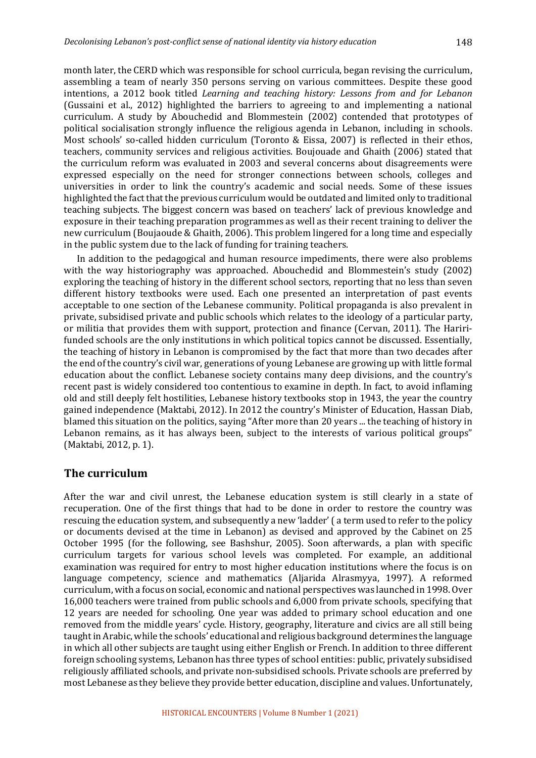month later, the CERD which was responsible for school curricula, began revising the curriculum, assembling a team of nearly 350 persons serving on various committees. Despite these good intentions, a 2012 book titled *Learning and teaching history: Lessons from and for Lebanon* (Gussaini et al., 2012) highlighted the barriers to agreeing to and implementing a national curriculum. A study by Abouchedid and Blommestein (2002) contended that prototypes of political socialisation strongly influence the religious agenda in Lebanon, including in schools. Most schools' so-called hidden curriculum (Toronto & Eissa, 2007) is reflected in their ethos, teachers, community services and religious activities. Boujouade and Ghaith (2006) stated that the curriculum reform was evaluated in 2003 and several concerns about disagreements were expressed especially on the need for stronger connections between schools, colleges and universities in order to link the country's academic and social needs. Some of these issues highlighted the fact that the previous curriculum would be outdated and limited only to traditional teaching subjects. The biggest concern was based on teachers' lack of previous knowledge and exposure in their teaching preparation programmes as well as their recent training to deliver the new curriculum (Boujaoude & Ghaith, 2006). This problem lingered for a long time and especially in the public system due to the lack of funding for training teachers.

In addition to the pedagogical and human resource impediments, there were also problems with the way historiography was approached. Abouchedid and Blommestein's study (2002) exploring the teaching of history in the different school sectors, reporting that no less than seven different history textbooks were used. Each one presented an interpretation of past events acceptable to one section of the Lebanese community. Political propaganda is also prevalent in private, subsidised private and public schools which relates to the ideology of a particular party, or militia that provides them with support, protection and finance (Cervan, 2011). The Haririfunded schools are the only institutions in which political topics cannot be discussed. Essentially, the teaching of history in Lebanon is compromised by the fact that more than two decades after the end of the country's civil war, generations of young Lebanese are growing up with little formal education about the conflict. Lebanese society contains many deep divisions, and the country's recent past is widely considered too contentious to examine in depth. In fact, to avoid inflaming old and still deeply felt hostilities, Lebanese history textbooks stop in 1943, the year the country gained independence (Maktabi, 2012). In 2012 the country's Minister of Education, Hassan Diab, blamed this situation on the politics, saying "After more than 20 years ... the teaching of history in Lebanon remains, as it has always been, subject to the interests of various political groups" (Maktabi, 2012, p. 1).

## **The curriculum**

After the war and civil unrest, the Lebanese education system is still clearly in a state of recuperation. One of the first things that had to be done in order to restore the country was rescuing the education system, and subsequently a new 'ladder' (a term used to refer to the policy or documents devised at the time in Lebanon) as devised and approved by the Cabinet on 25 October 1995 (for the following, see Bashshur, 2005). Soon afterwards, a plan with specific curriculum targets for various school levels was completed. For example, an additional examination was required for entry to most higher education institutions where the focus is on language competency, science and mathematics (Aljarida Alrasmyya, 1997). A reformed curriculum, with a focus on social, economic and national perspectives was launched in 1998. Over 16,000 teachers were trained from public schools and 6,000 from private schools, specifying that 12 years are needed for schooling. One year was added to primary school education and one removed from the middle years' cycle. History, geography, literature and civics are all still being taught in Arabic, while the schools' educational and religious background determines the language in which all other subjects are taught using either English or French. In addition to three different foreign schooling systems, Lebanon has three types of school entities: public, privately subsidised religiously affiliated schools, and private non-subsidised schools. Private schools are preferred by most Lebanese as they believe they provide better education, discipline and values. Unfortunately,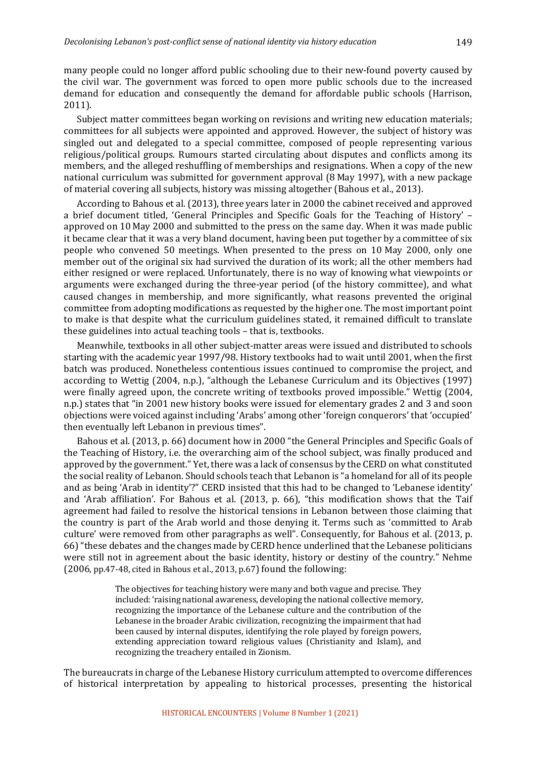many people could no longer afford public schooling due to their new-found poverty caused by the civil war. The government was forced to open more public schools due to the increased demand for education and consequently the demand for affordable public schools (Harrison, 2011).

Subject matter committees began working on revisions and writing new education materials; committees for all subjects were appointed and approved. However, the subject of history was singled out and delegated to a special committee, composed of people representing various religious/political groups. Rumours started circulating about disputes and conflicts among its members, and the alleged reshuffling of memberships and resignations. When a copy of the new national curriculum was submitted for government approval (8 May 1997), with a new package of material covering all subjects, history was missing altogether (Bahous et al., 2013).

According to Bahous et al. (2013), three years later in 2000 the cabinet received and approved a brief document titled, 'General Principles and Specific Goals for the Teaching of History' approved on 10 May 2000 and submitted to the press on the same day. When it was made public it became clear that it was a very bland document, having been put together by a committee of six people who convened 50 meetings. When presented to the press on 10 May 2000, only one member out of the original six had survived the duration of its work; all the other members had either resigned or were replaced. Unfortunately, there is no way of knowing what viewpoints or arguments were exchanged during the three-year period (of the history committee), and what caused changes in membership, and more significantly, what reasons prevented the original committee from adopting modifications as requested by the higher one. The most important point to make is that despite what the curriculum guidelines stated, it remained difficult to translate these guidelines into actual teaching tools - that is, textbooks.

Meanwhile, textbooks in all other subject-matter areas were issued and distributed to schools starting with the academic year 1997/98. History textbooks had to wait until 2001, when the first batch was produced. Nonetheless contentious issues continued to compromise the project, and according to Wettig (2004, n.p.), "although the Lebanese Curriculum and its Objectives (1997) were finally agreed upon, the concrete writing of textbooks proved impossible." Wettig (2004, n.p.) states that "in 2001 new history books were issued for elementary grades 2 and 3 and soon objections were voiced against including 'Arabs' among other 'foreign conquerors' that 'occupied' then eventually left Lebanon in previous times".

Bahous et al. (2013, p. 66) document how in 2000 "the General Principles and Specific Goals of the Teaching of History, i.e. the overarching aim of the school subject, was finally produced and approved by the government." Yet, there was a lack of consensus by the CERD on what constituted the social reality of Lebanon. Should schools teach that Lebanon is "a homeland for all of its people and as being 'Arab in identity'?" CERD insisted that this had to be changed to 'Lebanese identity' and 'Arab affiliation'. For Bahous et al. (2013, p. 66), "this modification shows that the Taif agreement had failed to resolve the historical tensions in Lebanon between those claiming that the country is part of the Arab world and those denying it. Terms such as 'committed to Arab culture' were removed from other paragraphs as well". Consequently, for Bahous et al. (2013, p. 66) "these debates and the changes made by CERD hence underlined that the Lebanese politicians were still not in agreement about the basic identity, history or destiny of the country." Nehme  $(2006, pp.47-48, cited in Bahous et al., 2013, p.67) found the following:$ 

> The objectives for teaching history were many and both vague and precise. They included: 'raising national awareness, developing the national collective memory, recognizing the importance of the Lebanese culture and the contribution of the Lebanese in the broader Arabic civilization, recognizing the impairment that had been caused by internal disputes, identifying the role played by foreign powers, extending appreciation toward religious values (Christianity and Islam), and recognizing the treachery entailed in Zionism.

The bureaucrats in charge of the Lebanese History curriculum attempted to overcome differences of historical interpretation by appealing to historical processes, presenting the historical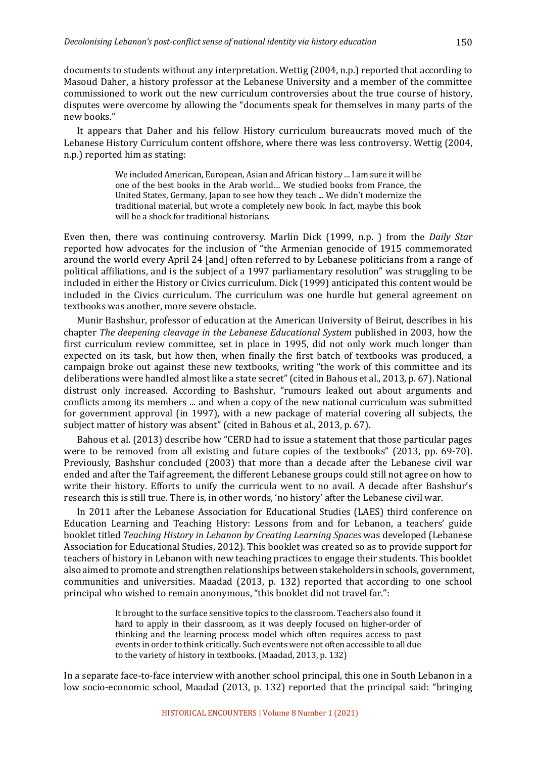documents to students without any interpretation. Wettig  $(2004, n.p.)$  reported that according to Masoud Daher, a history professor at the Lebanese University and a member of the committee commissioned to work out the new curriculum controversies about the true course of history, disputes were overcome by allowing the "documents speak for themselves in many parts of the new books."

It appears that Daher and his fellow History curriculum bureaucrats moved much of the Lebanese History Curriculum content offshore, where there was less controversy. Wettig (2004, n.p.) reported him as stating:

> We included American, European, Asian and African history ... I am sure it will be one of the best books in the Arab world... We studied books from France, the United States, Germany, Japan to see how they teach ... We didn't modernize the traditional material, but wrote a completely new book. In fact, maybe this book will be a shock for traditional historians.

Even then, there was continuing controversy. Marlin Dick (1999, n.p.) from the *Daily Star* reported how advocates for the inclusion of "the Armenian genocide of 1915 commemorated around the world every April 24 [and] often referred to by Lebanese politicians from a range of political affiliations, and is the subject of a 1997 parliamentary resolution" was struggling to be included in either the History or Civics curriculum. Dick (1999) anticipated this content would be included in the Civics curriculum. The curriculum was one hurdle but general agreement on textbooks was another, more severe obstacle.

Munir Bashshur, professor of education at the American University of Beirut, describes in his chapter *The deepening cleavage in the Lebanese Educational System* published in 2003, how the first curriculum review committee, set in place in 1995, did not only work much longer than expected on its task, but how then, when finally the first batch of textbooks was produced, a campaign broke out against these new textbooks, writing "the work of this committee and its deliberations were handled almost like a state secret" (cited in Bahous et al., 2013, p. 67). National distrust only increased. According to Bashshur, "rumours leaked out about arguments and conflicts among its members ... and when a copy of the new national curriculum was submitted for government approval (in 1997), with a new package of material covering all subjects, the subject matter of history was absent" (cited in Bahous et al., 2013, p. 67).

Bahous et al. (2013) describe how "CERD had to issue a statement that those particular pages were to be removed from all existing and future copies of the textbooks" (2013, pp.  $69-70$ ). Previously, Bashshur concluded (2003) that more than a decade after the Lebanese civil war ended and after the Taif agreement, the different Lebanese groups could still not agree on how to write their history. Efforts to unify the curricula went to no avail. A decade after Bashshur's research this is still true. There is, in other words, 'no history' after the Lebanese civil war.

In 2011 after the Lebanese Association for Educational Studies (LAES) third conference on Education Learning and Teaching History: Lessons from and for Lebanon, a teachers' guide booklet titled *Teaching History in Lebanon by Creating Learning Spaces* was developed (Lebanese Association for Educational Studies, 2012). This booklet was created so as to provide support for teachers of history in Lebanon with new teaching practices to engage their students. This booklet also aimed to promote and strengthen relationships between stakeholders in schools, government, communities and universities. Maadad (2013, p. 132) reported that according to one school principal who wished to remain anonymous, "this booklet did not travel far.":

> It brought to the surface sensitive topics to the classroom. Teachers also found it hard to apply in their classroom, as it was deeply focused on higher-order of thinking and the learning process model which often requires access to past events in order to think critically. Such events were not often accessible to all due to the variety of history in textbooks. (Maadad, 2013, p. 132)

In a separate face-to-face interview with another school principal, this one in South Lebanon in a low socio-economic school, Maadad (2013, p. 132) reported that the principal said: "bringing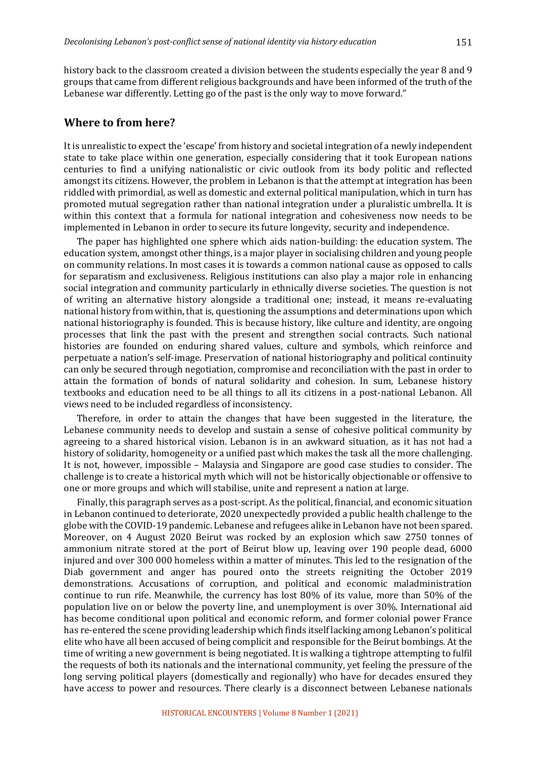Lebanese war differently. Letting go of the past is the only way to move forward."

history back to the classroom created a division between the students especially the year 8 and 9 groups that came from different religious backgrounds and have been informed of the truth of the

## **Where to from here?**

It is unrealistic to expect the 'escape' from history and societal integration of a newly independent state to take place within one generation, especially considering that it took European nations centuries to find a unifying nationalistic or civic outlook from its body politic and reflected amongst its citizens. However, the problem in Lebanon is that the attempt at integration has been riddled with primordial, as well as domestic and external political manipulation, which in turn has promoted mutual segregation rather than national integration under a pluralistic umbrella. It is within this context that a formula for national integration and cohesiveness now needs to be implemented in Lebanon in order to secure its future longevity, security and independence.

The paper has highlighted one sphere which aids nation-building: the education system. The education system, amongst other things, is a major player in socialising children and young people on community relations. In most cases it is towards a common national cause as opposed to calls for separatism and exclusiveness. Religious institutions can also play a major role in enhancing social integration and community particularly in ethnically diverse societies. The question is not of writing an alternative history alongside a traditional one; instead, it means re-evaluating national history from within, that is, questioning the assumptions and determinations upon which national historiography is founded. This is because history, like culture and identity, are ongoing processes that link the past with the present and strengthen social contracts. Such national histories are founded on enduring shared values, culture and symbols, which reinforce and perpetuate a nation's self-image. Preservation of national historiography and political continuity can only be secured through negotiation, compromise and reconciliation with the past in order to attain the formation of bonds of natural solidarity and cohesion. In sum, Lebanese history textbooks and education need to be all things to all its citizens in a post-national Lebanon. All views need to be included regardless of inconsistency.

Therefore, in order to attain the changes that have been suggested in the literature, the Lebanese community needs to develop and sustain a sense of cohesive political community by agreeing to a shared historical vision. Lebanon is in an awkward situation, as it has not had a history of solidarity, homogeneity or a unified past which makes the task all the more challenging. It is not, however, impossible – Malaysia and Singapore are good case studies to consider. The challenge is to create a historical myth which will not be historically objectionable or offensive to one or more groups and which will stabilise, unite and represent a nation at large.

Finally, this paragraph serves as a post-script. As the political, financial, and economic situation in Lebanon continued to deteriorate, 2020 unexpectedly provided a public health challenge to the globe with the COVID-19 pandemic. Lebanese and refugees alike in Lebanon have not been spared. Moreover, on 4 August 2020 Beirut was rocked by an explosion which saw 2750 tonnes of ammonium nitrate stored at the port of Beirut blow up, leaving over 190 people dead, 6000 injured and over 300 000 homeless within a matter of minutes. This led to the resignation of the Diab government and anger has poured onto the streets reigniting the October 2019 demonstrations. Accusations of corruption, and political and economic maladministration continue to run rife. Meanwhile, the currency has lost 80% of its value, more than 50% of the population live on or below the poverty line, and unemployment is over 30%. International aid has become conditional upon political and economic reform, and former colonial power France has re-entered the scene providing leadership which finds itself lacking among Lebanon's political elite who have all been accused of being complicit and responsible for the Beirut bombings. At the time of writing a new government is being negotiated. It is walking a tightrope attempting to fulfil the requests of both its nationals and the international community, yet feeling the pressure of the long serving political players (domestically and regionally) who have for decades ensured they have access to power and resources. There clearly is a disconnect between Lebanese nationals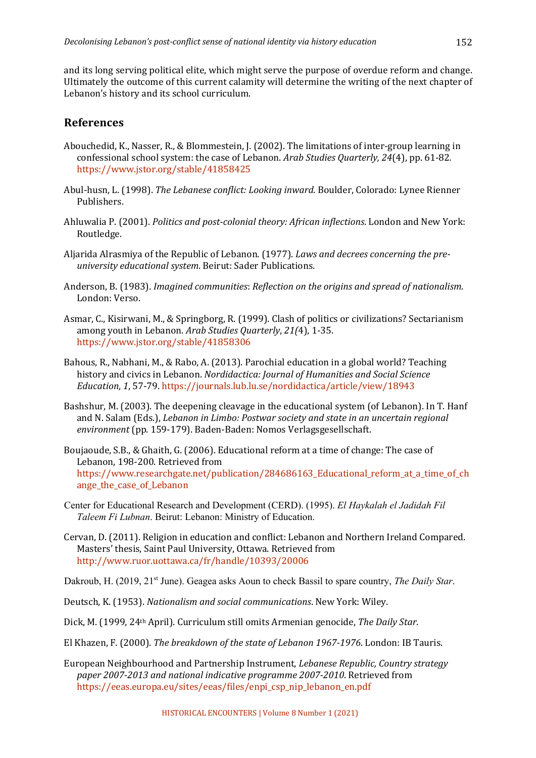and its long serving political elite, which might serve the purpose of overdue reform and change. Ultimately the outcome of this current calamity will determine the writing of the next chapter of Lebanon's history and its school curriculum.

## **References**

- Abouchedid, K., Nasser, R., & Blommestein, J. (2002). The limitations of inter-group learning in confessional school system: the case of Lebanon. *Arab Studies Quarterly, 24*(4), pp. 61-82. https://www.jstor.org/stable/41858425
- Abul-husn, L. (1998). *The Lebanese conflict: Looking inward*. Boulder, Colorado: Lynee Rienner Publishers.
- Ahluwalia P. (2001). *Politics and post-colonial theory: African inflections*. London and New York: Routledge.
- Aljarida Alrasmiya of the Republic of Lebanon. (1977). *Laws and decrees concerning the preuniversity educational system.* Beirut: Sader Publications.
- Anderson, B. (1983). *Imagined communities: Reflection on the origins and spread of nationalism.* London: Verso.
- Asmar, C., Kisirwani, M., & Springborg, R. (1999). Clash of politics or civilizations? Sectarianism among vouth in Lebanon. *Arab Studies Ouarterly*, 21(4), 1-35. https://www.jstor.org/stable/41858306
- Bahous, R., Nabhani, M., & Rabo, A. (2013). Parochial education in a global world? Teaching history and civics in Lebanon. *Nordidactica: Journal of Humanities and Social Science Education*, 1, 57-79. https://journals.lub.lu.se/nordidactica/article/view/18943
- Bashshur, M. (2003). The deepening cleavage in the educational system (of Lebanon). In T. Hanf and N. Salam (Eds.), *Lebanon in Limbo: Postwar society and state in an uncertain regional* environment (pp. 159-179). Baden-Baden: Nomos Verlagsgesellschaft.
- Boujaoude, S.B., & Ghaith, G. (2006). Educational reform at a time of change: The case of Lebanon, 198-200. Retrieved from https://www.researchgate.net/publication/284686163\_Educational\_reform\_at\_a\_time\_of\_ch ange the case of Lebanon
- Center for Educational Research and Development (CERD). (1995). *El Haykalah el Jadidah Fil Taleem Fi Lubnan*. Beirut: Lebanon: Ministry of Education.
- Cervan, D. (2011). Religion in education and conflict: Lebanon and Northern Ireland Compared. Masters' thesis, Saint Paul University, Ottawa, Retrieved from http://www.ruor.uottawa.ca/fr/handle/10393/20006

Dakroub, H. (2019, 21st June). Geagea asks Aoun to check Bassil to spare country, *The Daily Star*.

- Deutsch, K. (1953). *Nationalism and social communications*. New York: Wiley.
- Dick, M. (1999, 24<sup>th</sup> April). Curriculum still omits Armenian genocide, *The Daily Star*.
- El Khazen, F. (2000). *The breakdown of the state of Lebanon 1967-1976*. London: IB Tauris.
- European Neighbourhood and Partnership Instrument, *Lebanese Republic, Country strategy paper 2007-2013 and national indicative programme 2007-2010*. Retrieved from https://eeas.europa.eu/sites/eeas/files/enpi\_csp\_nip\_lebanon\_en.pdf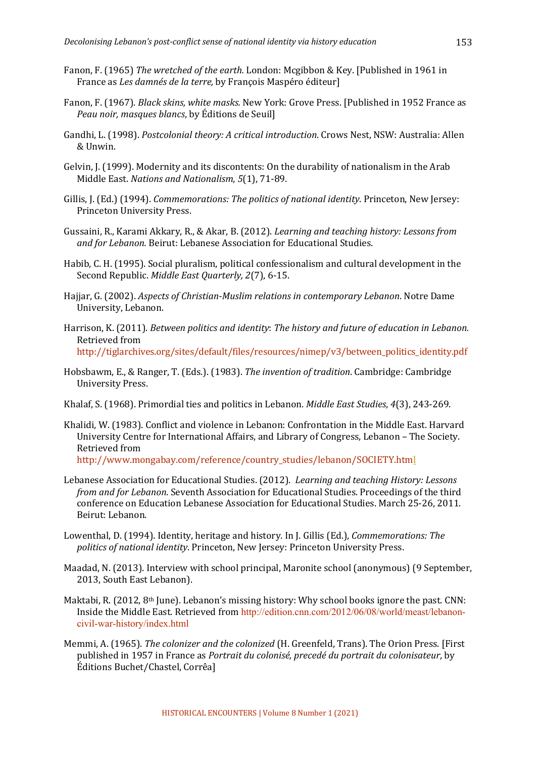- Fanon, F. (1965) *The wretched of the earth.* London: Mcgibbon & Key. [Published in 1961 in France as *Les damnés de la terre*, by François Maspéro éditeur]
- Fanon, F. (1967). *Black skins, white masks.* New York: Grove Press. [Published in 1952 France as *Peau noir, masques blancs*, by Éditions de Seuil]
- Gandhi, L. (1998). *Postcolonial theory: A critical introduction*. Crows Nest, NSW: Australia: Allen & Unwin.
- Gelvin, I. (1999). Modernity and its discontents: On the durability of nationalism in the Arab Middle East. *Nations and Nationalism*, 5(1), 71-89.
- Gillis, J. (Ed.) (1994). *Commemorations: The politics of national identity*. Princeton, New Jersey: Princeton University Press.
- Gussaini, R., Karami Akkary, R., & Akar, B. (2012). *Learning and teaching history: Lessons from* and for Lebanon. Beirut: Lebanese Association for Educational Studies.
- Habib, C. H. (1995). Social pluralism, political confessionalism and cultural development in the Second Republic. *Middle East Quarterly, 2(7), 6-15.*
- Hajjar, G. (2002). *Aspects of Christian-Muslim relations in contemporary Lebanon*. Notre Dame University, Lebanon.
- Harrison, K. (2011). *Between politics and identity: The history and future of education in Lebanon.* Retrieved from http://tiglarchives.org/sites/default/files/resources/nimep/v3/between\_politics\_identity.pdf
- Hobsbawm, E., & Ranger, T. (Eds.). (1983). *The invention of tradition*. Cambridge: Cambridge University Press.
- Khalaf, S. (1968). Primordial ties and politics in Lebanon. *Middle East Studies*, 4(3), 243-269.
- Khalidi, W. (1983). Conflict and violence in Lebanon: Confrontation in the Middle East. Harvard University Centre for International Affairs, and Library of Congress, Lebanon - The Society. Retrieved from http://www.mongabay.com/reference/country\_studies/lebanon/SOCIETY.html
- Lebanese Association for Educational Studies. (2012). *Learning and teaching History: Lessons from and for Lebanon*. Seventh Association for Educational Studies. Proceedings of the third conference on Education Lebanese Association for Educational Studies. March 25-26, 2011. Beirut: Lebanon.
- Lowenthal, D. (1994). Identity, heritage and history. In J. Gillis (Ed.), *Commemorations: The* politics of national identity. Princeton, New Jersey: Princeton University Press.
- Maadad, N. (2013). Interview with school principal, Maronite school (anonymous) (9 September, 2013, South East Lebanon).
- Maktabi, R. (2012, 8<sup>th</sup> June). Lebanon's missing history: Why school books ignore the past. CNN: Inside the Middle East. Retrieved from http://edition.cnn.com/2012/06/08/world/meast/lebanoncivil-war-history/index.html
- Memmi, A. (1965). *The colonizer and the colonized* (H. Greenfeld, Trans). The Orion Press. [First published in 1957 in France as *Portrait du colonisé, precedé du portrait du colonisateur*, by Éditions Buchet/Chastel, Corrêa]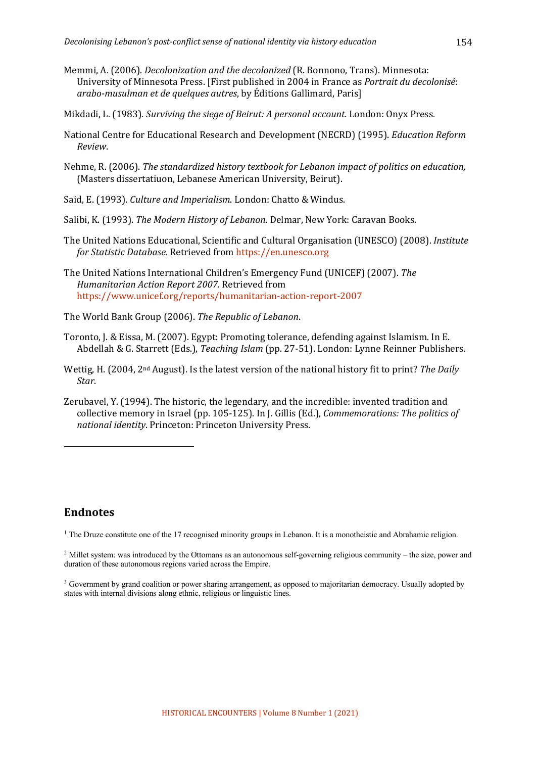- Memmi, A. (2006). *Decolonization and the decolonized* (R. Bonnono, Trans). Minnesota: University of Minnesota Press. [First published in 2004 in France as *Portrait du decolonisé*: *arabo-musulman et de quelques autres*, by Éditions Gallimard, Paris]
- Mikdadi, L. (1983). *Surviving the siege of Beirut: A personal account.* London: Onyx Press.
- National Centre for Educational Research and Development (NECRD) (1995). *Education Reform Review*.
- Nehme, R. (2006). *The standardized history textbook for Lebanon impact of politics on education.* (Masters dissertatiuon, Lebanese American University, Beirut).
- Said, E. (1993). *Culture and Imperialism*. London: Chatto & Windus.
- Salibi, K. (1993). *The Modern History of Lebanon*. Delmar, New York: Caravan Books.
- The United Nations Educational, Scientific and Cultural Organisation (UNESCO) (2008). *Institute for Statistic Database.* Retrieved from https://en.unesco.org
- The United Nations International Children's Emergency Fund (UNICEF) (2007). *The Humanitarian Action Report 2007.* Retrieved from https://www.unicef.org/reports/humanitarian-action-report-2007
- The World Bank Group (2006). The Republic of Lebanon.
- Toronto, J. & Eissa, M. (2007). Egypt: Promoting tolerance, defending against Islamism. In E. Abdellah & G. Starrett (Eds.), *Teaching Islam* (pp. 27-51). London: Lynne Reinner Publishers.
- Wettig, H. (2004, 2<sup>nd</sup> August). Is the latest version of the national history fit to print? The Daily *Star*.
- Zerubavel, Y. (1994). The historic, the legendary, and the incredible: invented tradition and collective memory in Israel (pp. 105-125). In J. Gillis (Ed.), *Commemorations: The politics of national identity*. Princeton: Princeton University Press.

## **Endnotes**

<sup>1</sup> The Druze constitute one of the 17 recognised minority groups in Lebanon. It is a monotheistic and Abrahamic religion.

<sup>2</sup> Millet system: was introduced by the Ottomans as an autonomous self-governing religious community – the size, power and duration of these autonomous regions varied across the Empire.

<sup>&</sup>lt;sup>3</sup> Government by grand coalition or power sharing arrangement, as opposed to majoritarian democracy. Usually adopted by states with internal divisions along ethnic, religious or linguistic lines.